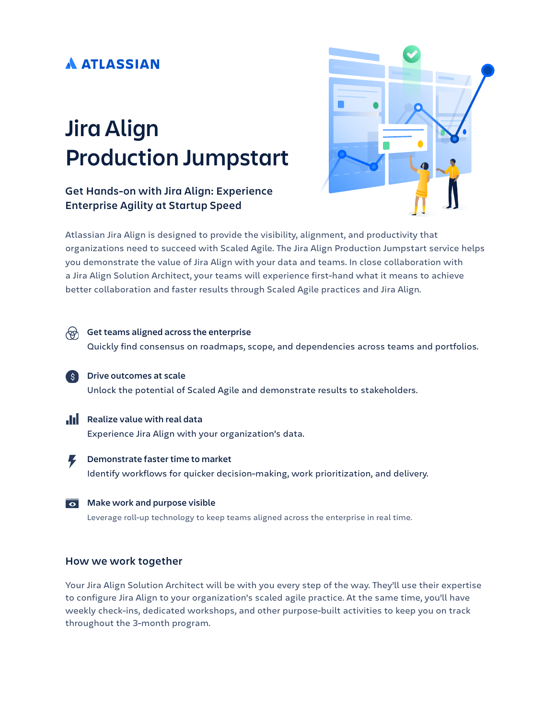### **A ATLASSIAN**

# **Jira Align Production Jumpstart**

### **Get Hands-on with Jira Align: Experience Enterprise Agility at Startup Speed**



Atlassian Jira Align is designed to provide the visibility, alignment, and productivity that organizations need to succeed with Scaled Agile. The Jira Align Production Jumpstart service helps you demonstrate the value of Jira Align with your data and teams. In close collaboration with a Jira Align Solution Architect, your teams will experience first-hand what it means to achieve better collaboration and faster results through Scaled Agile practices and Jira Align.



Leverage roll-up technology to keep teams aligned across the enterprise in real time.

#### **How we work together**

Your Jira Align Solution Architect will be with you every step of the way. They'll use their expertise to configure Jira Align to your organization's scaled agile practice. At the same time, you'll have weekly check-ins, dedicated workshops, and other purpose-built activities to keep you on track throughout the 3-month program.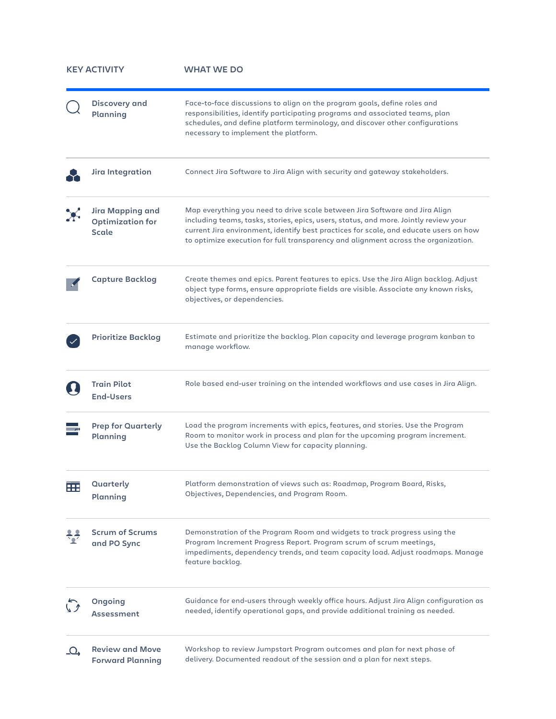| <b>KEY ACTIVITY</b> |                                                                    | <b>WHAT WE DO</b>                                                                                                                                                                                                                                                                                                                                  |
|---------------------|--------------------------------------------------------------------|----------------------------------------------------------------------------------------------------------------------------------------------------------------------------------------------------------------------------------------------------------------------------------------------------------------------------------------------------|
|                     | <b>Discovery and</b><br>Planning                                   | Face-to-face discussions to align on the program goals, define roles and<br>responsibilities, identify participating programs and associated teams, plan<br>schedules, and define platform terminology, and discover other configurations<br>necessary to implement the platform.                                                                  |
|                     | Jira Integration                                                   | Connect Jira Software to Jira Align with security and gateway stakeholders.                                                                                                                                                                                                                                                                        |
|                     | <b>Jira Mapping and</b><br><b>Optimization for</b><br><b>Scale</b> | Map everything you need to drive scale between Jira Software and Jira Align<br>including teams, tasks, stories, epics, users, status, and more. Jointly review your<br>current Jira environment, identify best practices for scale, and educate users on how<br>to optimize execution for full transparency and alignment across the organization. |
|                     | <b>Capture Backlog</b>                                             | Create themes and epics. Parent features to epics. Use the Jira Align backlog. Adjust<br>object type forms, ensure appropriate fields are visible. Associate any known risks,<br>objectives, or dependencies.                                                                                                                                      |
|                     | <b>Prioritize Backlog</b>                                          | Estimate and prioritize the backlog. Plan capacity and leverage program kanban to<br>manage workflow.                                                                                                                                                                                                                                              |
|                     | <b>Train Pilot</b><br><b>End-Users</b>                             | Role based end-user training on the intended workflows and use cases in Jira Align.                                                                                                                                                                                                                                                                |
|                     | <b>Prep for Quarterly</b><br>Planning                              | Load the program increments with epics, features, and stories. Use the Program<br>Room to monitor work in process and plan for the upcoming program increment.<br>Use the Backlog Column View for capacity planning.                                                                                                                               |
| æ                   | Quarterly<br>Planning                                              | Platform demonstration of views such as: Roadmap, Program Board, Risks,<br>Objectives, Dependencies, and Program Room.                                                                                                                                                                                                                             |
|                     | <b>Scrum of Scrums</b><br>and PO Sync                              | Demonstration of the Program Room and widgets to track progress using the<br>Program Increment Progress Report. Program scrum of scrum meetings,<br>impediments, dependency trends, and team capacity load. Adjust roadmaps. Manage<br>feature backlog.                                                                                            |
|                     | Ongoing<br>Assessment                                              | Guidance for end-users through weekly office hours. Adjust Jira Align configuration as<br>needed, identify operational gaps, and provide additional training as needed.                                                                                                                                                                            |
| $\Omega$            | <b>Review and Move</b><br><b>Forward Planning</b>                  | Workshop to review Jumpstart Program outcomes and plan for next phase of<br>delivery. Documented readout of the session and a plan for next steps.                                                                                                                                                                                                 |